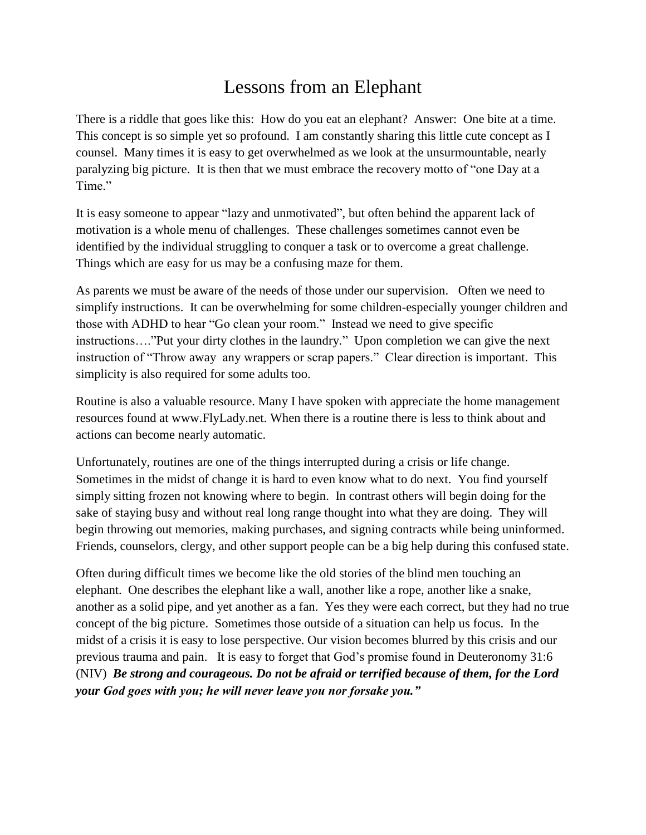## Lessons from an Elephant

There is a riddle that goes like this: How do you eat an elephant? Answer: One bite at a time. This concept is so simple yet so profound. I am constantly sharing this little cute concept as I counsel. Many times it is easy to get overwhelmed as we look at the unsurmountable, nearly paralyzing big picture. It is then that we must embrace the recovery motto of "one Day at a Time."

It is easy someone to appear "lazy and unmotivated", but often behind the apparent lack of motivation is a whole menu of challenges. These challenges sometimes cannot even be identified by the individual struggling to conquer a task or to overcome a great challenge. Things which are easy for us may be a confusing maze for them.

As parents we must be aware of the needs of those under our supervision. Often we need to simplify instructions. It can be overwhelming for some children-especially younger children and those with ADHD to hear "Go clean your room." Instead we need to give specific instructions…."Put your dirty clothes in the laundry." Upon completion we can give the next instruction of "Throw away any wrappers or scrap papers." Clear direction is important. This simplicity is also required for some adults too.

Routine is also a valuable resource. Many I have spoken with appreciate the home management resources found at www.FlyLady.net. When there is a routine there is less to think about and actions can become nearly automatic.

Unfortunately, routines are one of the things interrupted during a crisis or life change. Sometimes in the midst of change it is hard to even know what to do next. You find yourself simply sitting frozen not knowing where to begin. In contrast others will begin doing for the sake of staying busy and without real long range thought into what they are doing. They will begin throwing out memories, making purchases, and signing contracts while being uninformed. Friends, counselors, clergy, and other support people can be a big help during this confused state.

Often during difficult times we become like the old stories of the blind men touching an elephant. One describes the elephant like a wall, another like a rope, another like a snake, another as a solid pipe, and yet another as a fan. Yes they were each correct, but they had no true concept of the big picture. Sometimes those outside of a situation can help us focus. In the midst of a crisis it is easy to lose perspective. Our vision becomes blurred by this crisis and our previous trauma and pain. It is easy to forget that God's promise found in Deuteronomy 31:6 (NIV) *Be strong and courageous. Do not be afraid or terrified because of them, for the Lord your God goes with you; he will never leave you nor forsake you."*